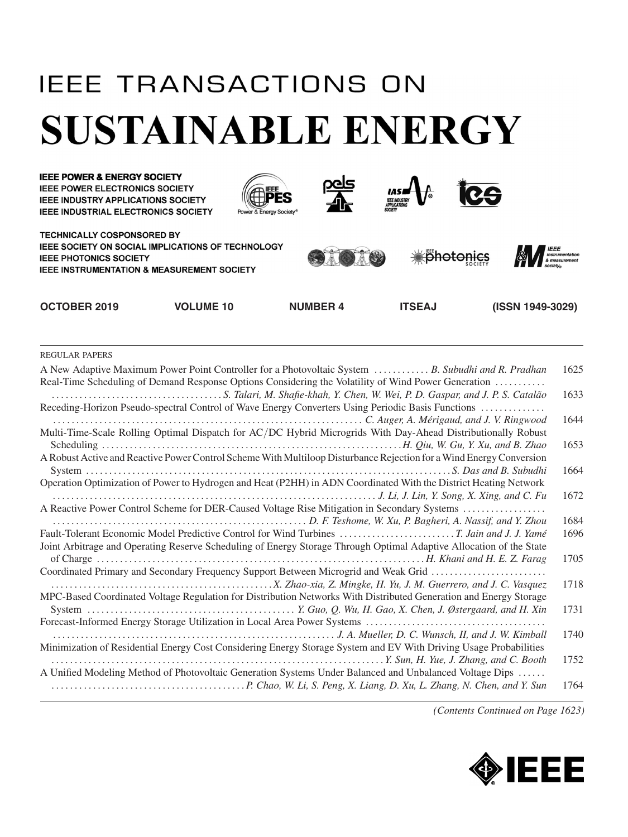## **IEEE TRANSACTIONS ON SUSTAINABLE ENERGY**



| A New Adaptive Maximum Power Point Controller for a Photovoltaic System  B. Subudhi and R. Pradhan<br>Real-Time Scheduling of Demand Response Options Considering the Volatility of Wind Power Generation | 1625 |
|-----------------------------------------------------------------------------------------------------------------------------------------------------------------------------------------------------------|------|
|                                                                                                                                                                                                           | 1633 |
| Receding-Horizon Pseudo-spectral Control of Wave Energy Converters Using Periodic Basis Functions                                                                                                         |      |
| Multi-Time-Scale Rolling Optimal Dispatch for AC/DC Hybrid Microgrids With Day-Ahead Distributionally Robust                                                                                              | 1644 |
|                                                                                                                                                                                                           | 1653 |
| A Robust Active and Reactive Power Control Scheme With Multiloop Disturbance Rejection for a Wind Energy Conversion                                                                                       |      |
|                                                                                                                                                                                                           | 1664 |
| Operation Optimization of Power to Hydrogen and Heat (P2HH) in ADN Coordinated With the District Heating Network                                                                                          |      |
|                                                                                                                                                                                                           | 1672 |
| A Reactive Power Control Scheme for DER-Caused Voltage Rise Mitigation in Secondary Systems                                                                                                               |      |
| D. F. Teshome, W. Xu, P. Bagheri, A. Nassif, and Y. Zhou  November 2014. [20] D. F. Teshome, W. Xu, P. Bagheri, A. Nassif, and Y. Zhou                                                                    | 1684 |
|                                                                                                                                                                                                           | 1696 |
| Joint Arbitrage and Operating Reserve Scheduling of Energy Storage Through Optimal Adaptive Allocation of the State                                                                                       |      |
|                                                                                                                                                                                                           | 1705 |
| Coordinated Primary and Secondary Frequency Support Between Microgrid and Weak Grid                                                                                                                       |      |
|                                                                                                                                                                                                           | 1718 |
| MPC-Based Coordinated Voltage Regulation for Distribution Networks With Distributed Generation and Energy Storage                                                                                         |      |
|                                                                                                                                                                                                           | 1731 |
|                                                                                                                                                                                                           |      |
|                                                                                                                                                                                                           | 1740 |
| Minimization of Residential Energy Cost Considering Energy Storage System and EV With Driving Usage Probabilities                                                                                         |      |
|                                                                                                                                                                                                           | 1752 |
| A Unified Modeling Method of Photovoltaic Generation Systems Under Balanced and Unbalanced Voltage Dips                                                                                                   |      |
|                                                                                                                                                                                                           | 1764 |
|                                                                                                                                                                                                           |      |

*(Contents Continued on Page 1623)*

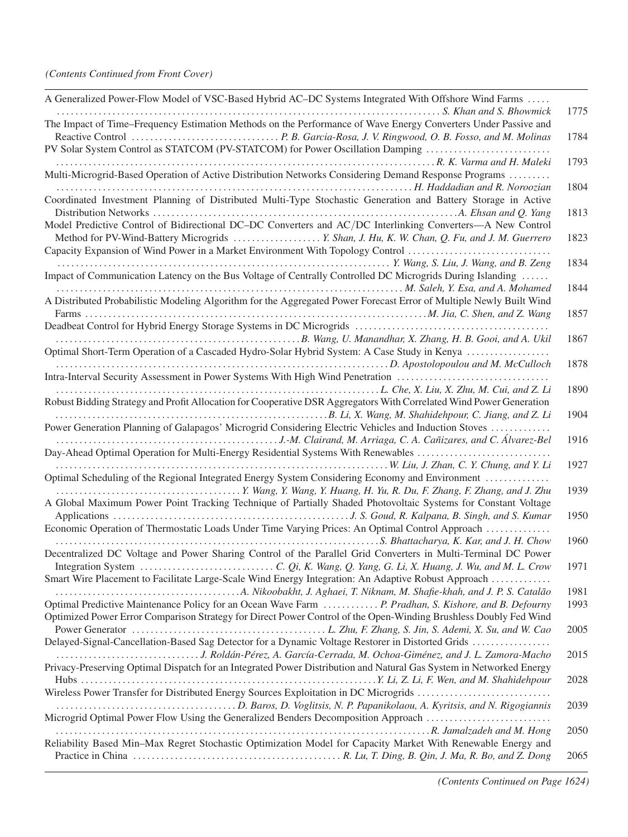| A Generalized Power-Flow Model of VSC-Based Hybrid AC-DC Systems Integrated With Offshore Wind Farms                                                                                                                      |      |
|---------------------------------------------------------------------------------------------------------------------------------------------------------------------------------------------------------------------------|------|
| The Impact of Time-Frequency Estimation Methods on the Performance of Wave Energy Converters Under Passive and                                                                                                            | 1775 |
| PV Solar System Control as STATCOM (PV-STATCOM) for Power Oscillation Damping                                                                                                                                             | 1784 |
| Multi-Microgrid-Based Operation of Active Distribution Networks Considering Demand Response Programs                                                                                                                      | 1793 |
| H. Haddadian and R. Noroozian<br>Coordinated Investment Planning of Distributed Multi-Type Stochastic Generation and Battery Storage in Active                                                                            | 1804 |
| Model Predictive Control of Bidirectional DC-DC Converters and AC/DC Interlinking Converters-A New Control                                                                                                                | 1813 |
| Capacity Expansion of Wind Power in a Market Environment With Topology Control                                                                                                                                            | 1823 |
| Impact of Communication Latency on the Bus Voltage of Centrally Controlled DC Microgrids During Islanding                                                                                                                 | 1834 |
| A Distributed Probabilistic Modeling Algorithm for the Aggregated Power Forecast Error of Multiple Newly Built Wind                                                                                                       | 1844 |
| Farms                                                                                                                                                                                                                     | 1857 |
| Optimal Short-Term Operation of a Cascaded Hydro-Solar Hybrid System: A Case Study in Kenya                                                                                                                               | 1867 |
|                                                                                                                                                                                                                           | 1878 |
| Intra-Interval Security Assessment in Power Systems With High Wind Penetration                                                                                                                                            | 1890 |
| Robust Bidding Strategy and Profit Allocation for Cooperative DSR Aggregators With Correlated Wind Power Generation                                                                                                       | 1904 |
| Power Generation Planning of Galapagos' Microgrid Considering Electric Vehicles and Induction Stoves                                                                                                                      | 1916 |
| Day-Ahead Optimal Operation for Multi-Energy Residential Systems With Renewables                                                                                                                                          | 1927 |
| Optimal Scheduling of the Regional Integrated Energy System Considering Economy and Environment                                                                                                                           | 1939 |
| A Global Maximum Power Point Tracking Technique of Partially Shaded Photovoltaic Systems for Constant Voltage                                                                                                             | 1950 |
| Economic Operation of Thermostatic Loads Under Time Varying Prices: An Optimal Control Approach                                                                                                                           | 1960 |
| Decentralized DC Voltage and Power Sharing Control of the Parallel Grid Converters in Multi-Terminal DC Power                                                                                                             | 1971 |
| Smart Wire Placement to Facilitate Large-Scale Wind Energy Integration: An Adaptive Robust Approach                                                                                                                       | 1981 |
| Optimal Predictive Maintenance Policy for an Ocean Wave Farm  P. Pradhan, S. Kishore, and B. Defourny<br>Optimized Power Error Comparison Strategy for Direct Power Control of the Open-Winding Brushless Doubly Fed Wind | 1993 |
| Delayed-Signal-Cancellation-Based Sag Detector for a Dynamic Voltage Restorer in Distorted Grids                                                                                                                          | 2005 |
| J. Roldán-Pérez, A. García-Cerrada, M. Ochoa-Giménez, and J. L. Zamora-Macho<br>Privacy-Preserving Optimal Dispatch for an Integrated Power Distribution and Natural Gas System in Networked Energy                       | 2015 |
|                                                                                                                                                                                                                           | 2028 |
| Wireless Power Transfer for Distributed Energy Sources Exploitation in DC Microgrids                                                                                                                                      | 2039 |
| Microgrid Optimal Power Flow Using the Generalized Benders Decomposition Approach                                                                                                                                         | 2050 |
| Reliability Based Min-Max Regret Stochastic Optimization Model for Capacity Market With Renewable Energy and                                                                                                              | 2065 |